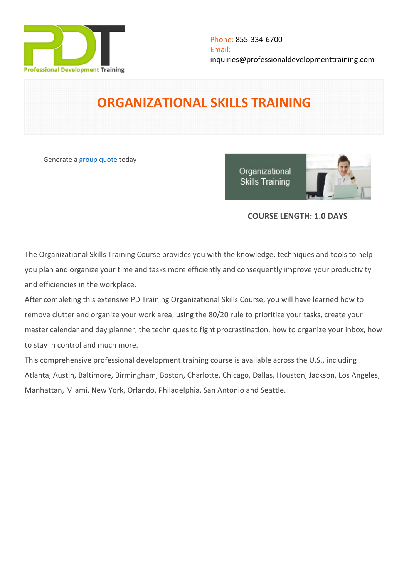

# **ORGANIZATIONAL SKILLS TRAINING**

Generate a [group quote](https://professionaldevelopmenttraining.com/inhouse-training-quote?cse=PDT9064) today

Organizational **Skills Training** 



# **COURSE LENGTH: 1.0 DAYS**

The Organizational Skills Training Course provides you with the knowledge, techniques and tools to help you plan and organize your time and tasks more efficiently and consequently improve your productivity and efficiencies in the workplace.

After completing this extensive PD Training Organizational Skills Course, you will have learned how to remove clutter and organize your work area, using the 80/20 rule to prioritize your tasks, create your master calendar and day planner, the techniques to fight procrastination, how to organize your inbox, how to stay in control and much more.

This comprehensive professional development training course is available across the U.S., including Atlanta, Austin, Baltimore, Birmingham, Boston, Charlotte, Chicago, Dallas, Houston, Jackson, Los Angeles, Manhattan, Miami, New York, Orlando, Philadelphia, San Antonio and Seattle.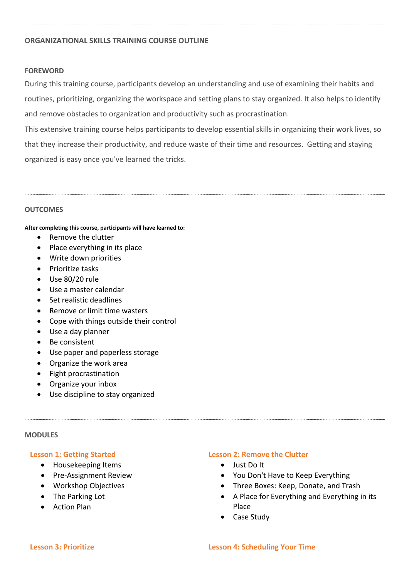#### **ORGANIZATIONAL SKILLS TRAINING COURSE OUTLINE**

#### **FOREWORD**

During this training course, participants develop an understanding and use of examining their habits and routines, prioritizing, organizing the workspace and setting plans to stay organized. It also helps to identify and remove obstacles to organization and productivity such as procrastination.

This extensive training course helps participants to develop essential skills in organizing their work lives, so that they increase their productivity, and reduce waste of their time and resources. Getting and staying organized is easy once you've learned the tricks.

#### **OUTCOMES**

#### **After completing this course, participants will have learned to:**

- Remove the clutter
- Place everything in its place
- Write down priorities
- Prioritize tasks
- Use 80/20 rule
- Use a master calendar
- Set realistic deadlines
- Remove or limit time wasters
- Cope with things outside their control
- Use a day planner
- Be consistent
- Use paper and paperless storage
- Organize the work area
- Fight procrastination
- Organize your inbox
- Use discipline to stay organized

#### **MODULES**

#### **Lesson 1: Getting Started**

- Housekeeping Items
- Pre-Assignment Review
- Workshop Objectives
- The Parking Lot
- Action Plan

#### **Lesson 2: Remove the Clutter**

- Just Do It
- You Don't Have to Keep Everything
- Three Boxes: Keep, Donate, and Trash
- A Place for Everything and Everything in its Place
- Case Study

#### **Lesson 3: Prioritize Lesson 4: Scheduling Your Time**